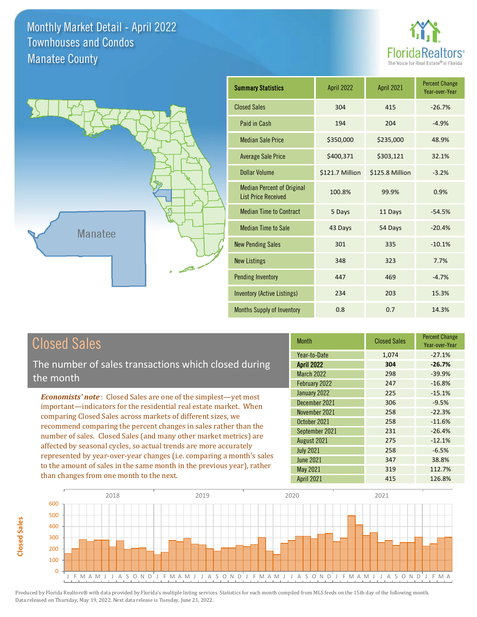



# Closed Sales

**Closed Sales**

**Closed Sales** 

The number of sales transactions which closed during the month

*Economists' note* : Closed Sales are one of the simplest—yet most important—indicators for the residential real estate market. When comparing Closed Sales across markets of different sizes, we recommend comparing the percent changes in sales rather than the number of sales. Closed Sales (and many other market metrics) are affected by seasonal cycles, so actual trends are more accurately represented by year-over-year changes (i.e. comparing a month's sales to the amount of sales in the same month in the previous year), rather than changes from one month to the next.

| <b>Month</b>      | <b>Closed Sales</b> | <b>Percent Change</b><br>Year-over-Year |
|-------------------|---------------------|-----------------------------------------|
| Year-to-Date      | 1,074               | $-27.1%$                                |
| <b>April 2022</b> | 304                 | $-26.7%$                                |
| <b>March 2022</b> | 298                 | $-39.9%$                                |
| February 2022     | 247                 | $-16.8%$                                |
| January 2022      | 225                 | $-15.1%$                                |
| December 2021     | 306                 | $-9.5%$                                 |
| November 2021     | 258                 | $-22.3%$                                |
| October 2021      | 258                 | $-11.6%$                                |
| September 2021    | 231                 | $-26.4%$                                |
| August 2021       | 275                 | $-12.1%$                                |
| <b>July 2021</b>  | 258                 | $-6.5%$                                 |
| <b>June 2021</b>  | 347                 | 38.8%                                   |
| <b>May 2021</b>   | 319                 | 112.7%                                  |
| <b>April 2021</b> | 415                 | 126.8%                                  |

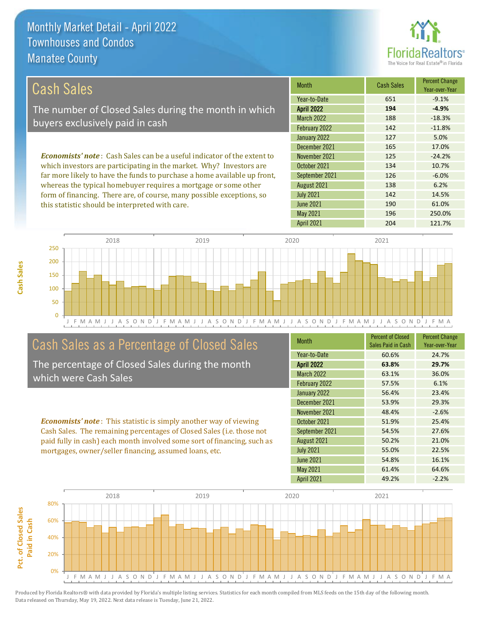this statistic should be interpreted with care.



190 61.0%

| Cash Sales                                                                     | <b>Month</b>      | <b>Cash Sales</b> | <b>Percent Change</b><br>Year-over-Year |
|--------------------------------------------------------------------------------|-------------------|-------------------|-----------------------------------------|
|                                                                                | Year-to-Date      | 651               | $-9.1%$                                 |
| The number of Closed Sales during the month in which                           | <b>April 2022</b> | 194               | $-4.9%$                                 |
| buyers exclusively paid in cash                                                | <b>March 2022</b> | 188               | $-18.3%$                                |
|                                                                                | February 2022     | 142               | $-11.8%$                                |
|                                                                                | January 2022      | 127               | 5.0%                                    |
|                                                                                | December 2021     | 165               | 17.0%                                   |
| <b>Economists' note:</b> Cash Sales can be a useful indicator of the extent to | November 2021     | 125               | $-24.2%$                                |
| which investors are participating in the market. Why? Investors are            | October 2021      | 134               | 10.7%                                   |
| far more likely to have the funds to purchase a home available up front,       | September 2021    | 126               | $-6.0%$                                 |
| whereas the typical homebuyer requires a mortgage or some other                | August 2021       | 138               | 6.2%                                    |
| form of financing. There are, of course, many possible exceptions, so          | <b>July 2021</b>  | 142               | 14.5%                                   |

J F M A M J J A S O N D J F M A M J J A S O N D J F M A M J J A S O N D J F M A M J J A S O N D J F M A 0 50 100 150 200 250 2018 2019 2020 2021

# Cash Sales as a Percentage of Closed Sales

The percentage of Closed Sales during the month which were Cash Sales

*Economists' note* : This statistic is simply another way of viewing Cash Sales. The remaining percentages of Closed Sales (i.e. those not paid fully in cash) each month involved some sort of financing, such as mortgages, owner/seller financing, assumed loans, etc.

| <b>Month</b>      | <b>Percent of Closed</b><br>Sales Paid in Cash | <b>Percent Change</b><br>Year-over-Year |
|-------------------|------------------------------------------------|-----------------------------------------|
| Year-to-Date      | 60.6%                                          | 24.7%                                   |
| <b>April 2022</b> | 63.8%                                          | 29.7%                                   |
| <b>March 2022</b> | 63.1%                                          | 36.0%                                   |
| February 2022     | 57.5%                                          | 6.1%                                    |
| January 2022      | 56.4%                                          | 23.4%                                   |
| December 2021     | 53.9%                                          | 29.3%                                   |
| November 2021     | 48.4%                                          | $-2.6%$                                 |
| October 2021      | 51.9%                                          | 25.4%                                   |
| September 2021    | 54.5%                                          | 27.6%                                   |
| August 2021       | 50.2%                                          | 21.0%                                   |
| <b>July 2021</b>  | 55.0%                                          | 22.5%                                   |
| <b>June 2021</b>  | 54.8%                                          | 16.1%                                   |
| <b>May 2021</b>   | 61.4%                                          | 64.6%                                   |
| <b>April 2021</b> | 49.2%                                          | $-2.2%$                                 |

May 2021 196 250.0%

June 2021

April 2021 204 204 121.7%

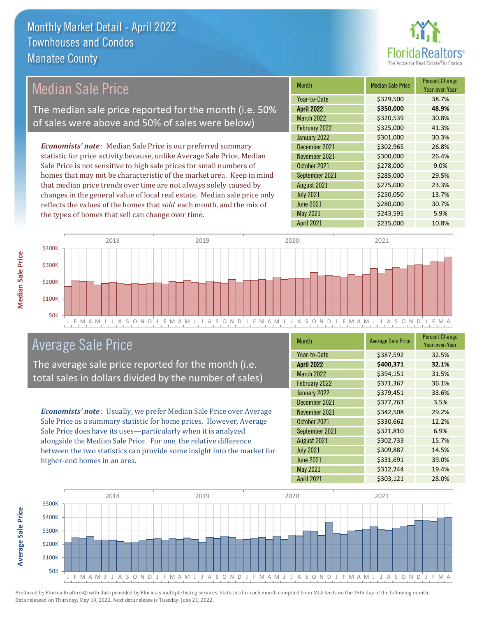

#### *Economists' note* : Median Sale Price is our preferred summary statistic for price activity because, unlike Average Sale Price, Median Sale Price is not sensitive to high sale prices for small numbers of homes that may not be characteristic of the market area. Keep in mind that median price trends over time are not always solely caused by changes in the general value of local real estate. Median sale price only reflects the values of the homes that *sold* each month, and the mix of the types of homes that sell can change over time. April 2021 **\$235,000** 10.8% June 2021 **\$280,000** \$280,000 30.7% May 2021 **5.9%** \$243,595 5.9% August 2021 **\$275,000** 23.3% July 2021 **\$250,050** 13.7% \$301,000 30.3% December 2021 **\$302,965** 26.8% September 2021 **\$285,000** 29.5% March 2022 \$320,539 30.8% February 2022 \$325,000 41.3% November 2021 **\$300,000** 26.4% October 2021 **\$278,000** 9.0% January 2022 Month Median Sale Price Percent Change Year-over-Year April 2022 **\$350,000 48.9%** Year-to-Date \$329,500 38.7% Median Sale Price The median sale price reported for the month (i.e. 50% of sales were above and 50% of sales were below)



## Average Sale Price

The average sale price reported for the month (i.e. total sales in dollars divided by the number of sales)

*Economists' note* : Usually, we prefer Median Sale Price over Average Sale Price as a summary statistic for home prices. However, Average Sale Price does have its uses—particularly when it is analyzed alongside the Median Sale Price. For one, the relative difference between the two statistics can provide some insight into the market for higher-end homes in an area.

| Month             | <b>Average Sale Price</b> | <b>Percent Change</b><br>Year-over-Year |
|-------------------|---------------------------|-----------------------------------------|
| Year-to-Date      | \$387,592                 | 32.5%                                   |
| <b>April 2022</b> | \$400,371                 | 32.1%                                   |
| <b>March 2022</b> | \$394,151                 | 31.5%                                   |
| February 2022     | \$371,367                 | 36.1%                                   |
| January 2022      | \$379,451                 | 33.6%                                   |
| December 2021     | \$377,763                 | 3.5%                                    |
| November 2021     | \$342,508                 | 29.2%                                   |
| October 2021      | \$330,662                 | 12.2%                                   |
| September 2021    | \$321,810                 | 6.9%                                    |
| August 2021       | \$302,733                 | 15.7%                                   |
| <b>July 2021</b>  | \$309,887                 | 14.5%                                   |
| <b>June 2021</b>  | \$331,691                 | 39.0%                                   |
| <b>May 2021</b>   | \$312,244                 | 19.4%                                   |
| <b>April 2021</b> | \$303,121                 | 28.0%                                   |



Produced by Florida Realtors® with data provided by Florida's multiple listing services. Statistics for each month compiled from MLS feeds on the 15th day of the following month. Data released on Thursday, May 19, 2022. Next data release is Tuesday, June 21, 2022.

**Average Sale Price**

**Average Sale Price**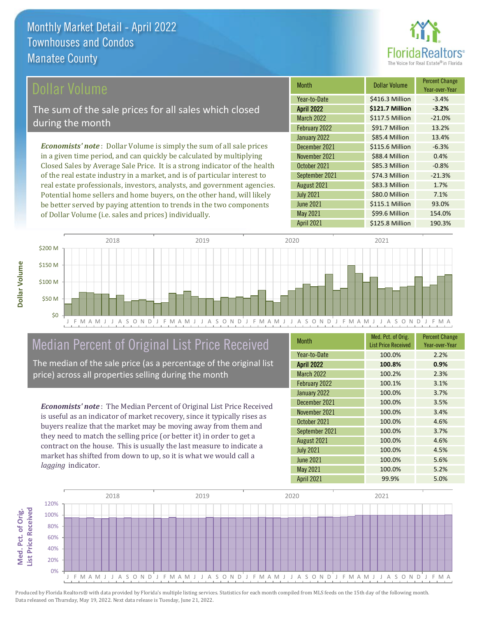

### ollar Volume

The sum of the sale prices for all sales which closed during the month

*Economists' note* : Dollar Volume is simply the sum of all sale prices in a given time period, and can quickly be calculated by multiplying Closed Sales by Average Sale Price. It is a strong indicator of the health of the real estate industry in a market, and is of particular interest to real estate professionals, investors, analysts, and government agencies. Potential home sellers and home buyers, on the other hand, will likely be better served by paying attention to trends in the two components of Dollar Volume (i.e. sales and prices) individually.

| <b>Month</b>      | Dollar Volume   | <b>Percent Change</b><br>Year-over-Year |
|-------------------|-----------------|-----------------------------------------|
| Year-to-Date      | \$416.3 Million | $-3.4%$                                 |
| <b>April 2022</b> | \$121.7 Million | $-3.2%$                                 |
| <b>March 2022</b> | \$117.5 Million | $-21.0%$                                |
| February 2022     | \$91.7 Million  | 13.2%                                   |
| January 2022      | \$85.4 Million  | 13.4%                                   |
| December 2021     | \$115.6 Million | $-6.3%$                                 |
| November 2021     | \$88.4 Million  | 0.4%                                    |
| October 2021      | \$85.3 Million  | $-0.8%$                                 |
| September 2021    | \$74.3 Million  | $-21.3%$                                |
| August 2021       | \$83.3 Million  | 1.7%                                    |
| <b>July 2021</b>  | \$80.0 Million  | 7.1%                                    |
| <b>June 2021</b>  | \$115.1 Million | 93.0%                                   |
| May 2021          | \$99.6 Million  | 154.0%                                  |
| <b>April 2021</b> | \$125.8 Million | 190.3%                                  |



# Median Percent of Original List Price Received

The median of the sale price (as a percentage of the original list price) across all properties selling during the month

*Economists' note* : The Median Percent of Original List Price Received is useful as an indicator of market recovery, since it typically rises as buyers realize that the market may be moving away from them and they need to match the selling price (or better it) in order to get a contract on the house. This is usually the last measure to indicate a market has shifted from down to up, so it is what we would call a *lagging* indicator.

| <b>Month</b>      | Med. Pct. of Orig.<br><b>List Price Received</b> | <b>Percent Change</b><br>Year-over-Year |
|-------------------|--------------------------------------------------|-----------------------------------------|
| Year-to-Date      | 100.0%                                           | 2.2%                                    |
| <b>April 2022</b> | 100.8%                                           | 0.9%                                    |
| March 2022        | 100.2%                                           | 2.3%                                    |
| February 2022     | 100.1%                                           | 3.1%                                    |
| January 2022      | 100.0%                                           | 3.7%                                    |
| December 2021     | 100.0%                                           | 3.5%                                    |
| November 2021     | 100.0%                                           | 3.4%                                    |
| October 2021      | 100.0%                                           | 4.6%                                    |
| September 2021    | 100.0%                                           | 3.7%                                    |
| August 2021       | 100.0%                                           | 4.6%                                    |
| <b>July 2021</b>  | 100.0%                                           | 4.5%                                    |
| <b>June 2021</b>  | 100.0%                                           | 5.6%                                    |
| May 2021          | 100.0%                                           | 5.2%                                    |
| <b>April 2021</b> | 99.9%                                            | 5.0%                                    |

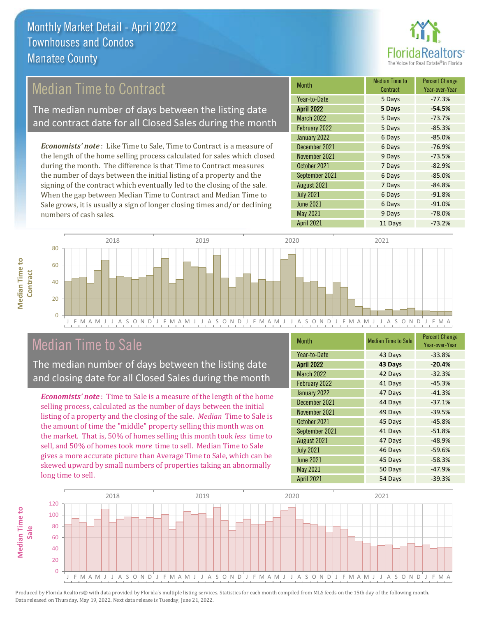

# Median Time to Contract

The median number of days between the listing date and contract date for all Closed Sales during the month

*Economists' note* : Like Time to Sale, Time to Contract is a measure of the length of the home selling process calculated for sales which closed during the month. The difference is that Time to Contract measures the number of days between the initial listing of a property and the signing of the contract which eventually led to the closing of the sale. When the gap between Median Time to Contract and Median Time to Sale grows, it is usually a sign of longer closing times and/or declining numbers of cash sales.

| <b>Month</b>      | Median Time to<br>Contract | <b>Percent Change</b><br>Year-over-Year |
|-------------------|----------------------------|-----------------------------------------|
| Year-to-Date      | 5 Days                     | $-77.3%$                                |
| <b>April 2022</b> | 5 Days                     | $-54.5%$                                |
| March 2022        | 5 Days                     | $-73.7%$                                |
| February 2022     | 5 Days                     | $-85.3%$                                |
| January 2022      | 6 Days                     | $-85.0%$                                |
| December 2021     | 6 Days                     | $-76.9%$                                |
| November 2021     | 9 Days                     | $-73.5%$                                |
| October 2021      | 7 Days                     | $-82.9%$                                |
| September 2021    | 6 Days                     | $-85.0%$                                |
| August 2021       | 7 Days                     | $-84.8%$                                |
| <b>July 2021</b>  | 6 Days                     | $-91.8%$                                |
| <b>June 2021</b>  | 6 Days                     | $-91.0%$                                |
| May 2021          | 9 Days                     | $-78.0%$                                |
| April 2021        | 11 Days                    | $-73.2%$                                |



## Median Time to Sale

**Median Time to** 

**Median Time to** 

The median number of days between the listing date and closing date for all Closed Sales during the month

*Economists' note* : Time to Sale is a measure of the length of the home selling process, calculated as the number of days between the initial listing of a property and the closing of the sale. *Median* Time to Sale is the amount of time the "middle" property selling this month was on the market. That is, 50% of homes selling this month took *less* time to sell, and 50% of homes took *more* time to sell. Median Time to Sale gives a more accurate picture than Average Time to Sale, which can be skewed upward by small numbers of properties taking an abnormally long time to sell.

| <b>Month</b>      | <b>Median Time to Sale</b> | <b>Percent Change</b><br>Year-over-Year |
|-------------------|----------------------------|-----------------------------------------|
| Year-to-Date      | 43 Days                    | $-33.8%$                                |
| <b>April 2022</b> | 43 Days                    | $-20.4%$                                |
| <b>March 2022</b> | 42 Days                    | $-32.3%$                                |
| February 2022     | 41 Days                    | $-45.3%$                                |
| January 2022      | 47 Days                    | $-41.3%$                                |
| December 2021     | 44 Days                    | $-37.1%$                                |
| November 2021     | 49 Days                    | $-39.5%$                                |
| October 2021      | 45 Days                    | $-45.8%$                                |
| September 2021    | 41 Days                    | $-51.8%$                                |
| August 2021       | 47 Days                    | $-48.9%$                                |
| <b>July 2021</b>  | 46 Days                    | $-59.6%$                                |
| <b>June 2021</b>  | 45 Days                    | $-58.3%$                                |
| May 2021          | 50 Days                    | $-47.9%$                                |
| <b>April 2021</b> | 54 Days                    | $-39.3%$                                |

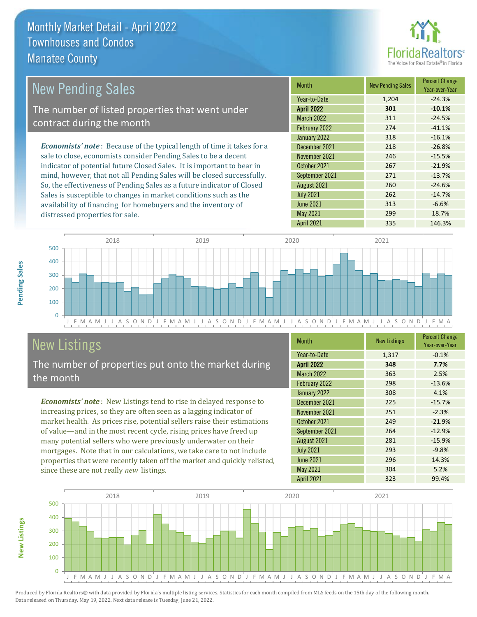distressed properties for sale.



| <b>New Pending Sales</b>                                                       | <b>Month</b>      | <b>New Pending Sales</b> | <b>Percent Change</b><br>Year-over-Year |
|--------------------------------------------------------------------------------|-------------------|--------------------------|-----------------------------------------|
|                                                                                | Year-to-Date      | 1,204                    | $-24.3%$                                |
| The number of listed properties that went under                                | <b>April 2022</b> | 301                      | $-10.1%$                                |
| contract during the month                                                      | <b>March 2022</b> | 311                      | $-24.5%$                                |
|                                                                                | February 2022     | 274                      | $-41.1%$                                |
|                                                                                | January 2022      | 318                      | $-16.1%$                                |
| <b>Economists' note</b> : Because of the typical length of time it takes for a | December 2021     | 218                      | $-26.8%$                                |
| sale to close, economists consider Pending Sales to be a decent                | November 2021     | 246                      | $-15.5%$                                |
| indicator of potential future Closed Sales. It is important to bear in         | October 2021      | 267                      | $-21.9%$                                |
| mind, however, that not all Pending Sales will be closed successfully.         | September 2021    | 271                      | $-13.7%$                                |
| So, the effectiveness of Pending Sales as a future indicator of Closed         | August 2021       | 260                      | $-24.6%$                                |
| Sales is susceptible to changes in market conditions such as the               | <b>July 2021</b>  | 262                      | $-14.7%$                                |
| availability of financing for homebuyers and the inventory of                  | June 2021         | 313                      | $-6.6%$                                 |



# New Listings

The number of properties put onto the market during the month

availability of financing for homebuyers and the inventory of

*Economists' note* : New Listings tend to rise in delayed response to increasing prices, so they are often seen as a lagging indicator of market health. As prices rise, potential sellers raise their estimations of value—and in the most recent cycle, rising prices have freed up many potential sellers who were previously underwater on their mortgages. Note that in our calculations, we take care to not include properties that were recently taken off the market and quickly relisted, since these are not really *new* listings.

| <b>Month</b>      | <b>New Listings</b> | <b>Percent Change</b><br>Year-over-Year |
|-------------------|---------------------|-----------------------------------------|
| Year-to-Date      | 1,317               | $-0.1%$                                 |
| <b>April 2022</b> | 348                 | 7.7%                                    |
| <b>March 2022</b> | 363                 | 2.5%                                    |
| February 2022     | 298                 | $-13.6%$                                |
| January 2022      | 308                 | 4.1%                                    |
| December 2021     | 225                 | $-15.7%$                                |
| November 2021     | 251                 | $-2.3%$                                 |
| October 2021      | 249                 | $-21.9%$                                |
| September 2021    | 264                 | $-12.9%$                                |
| August 2021       | 281                 | $-15.9%$                                |
| <b>July 2021</b>  | 293                 | $-9.8%$                                 |
| <b>June 2021</b>  | 296                 | 14.3%                                   |
| May 2021          | 304                 | 5.2%                                    |
| <b>April 2021</b> | 323                 | 99.4%                                   |

April 2021 335 146.3%

May 2021 299 299 18.7%



**Pending Sales**

Pending Sales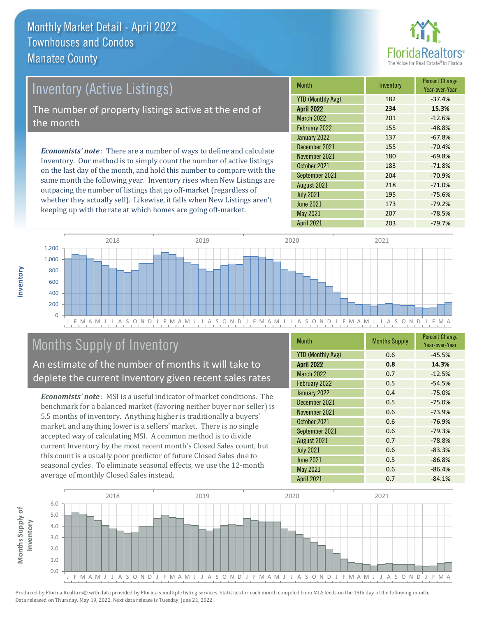

# *Economists' note* : There are a number of ways to define and calculate Inventory (Active Listings) The number of property listings active at the end of the month

Inventory. Our method is to simply count the number of active listings on the last day of the month, and hold this number to compare with the same month the following year. Inventory rises when New Listings are outpacing the number of listings that go off-market (regardless of whether they actually sell). Likewise, it falls when New Listings aren't keeping up with the rate at which homes are going off-market.

| <b>Month</b>             | Inventory | <b>Percent Change</b><br>Year-over-Year |
|--------------------------|-----------|-----------------------------------------|
| <b>YTD (Monthly Avg)</b> | 182       | $-37.4%$                                |
| April 2022               | 234       | 15.3%                                   |
| <b>March 2022</b>        | 201       | $-12.6%$                                |
| February 2022            | 155       | $-48.8%$                                |
| January 2022             | 137       | $-67.8%$                                |
| December 2021            | 155       | $-70.4%$                                |
| November 2021            | 180       | $-69.8%$                                |
| October 2021             | 183       | $-71.8%$                                |
| September 2021           | 204       | $-70.9%$                                |
| August 2021              | 218       | $-71.0%$                                |
| <b>July 2021</b>         | 195       | $-75.6%$                                |
| <b>June 2021</b>         | 173       | $-79.2%$                                |
| May 2021                 | 207       | $-78.5%$                                |
| <b>April 2021</b>        | 203       | $-79.7%$                                |



# Months Supply of Inventory

An estimate of the number of months it will take to deplete the current Inventory given recent sales rates

*Economists' note* : MSI is a useful indicator of market conditions. The benchmark for a balanced market (favoring neither buyer nor seller) is 5.5 months of inventory. Anything higher is traditionally a buyers' market, and anything lower is a sellers' market. There is no single accepted way of calculating MSI. A common method is to divide current Inventory by the most recent month's Closed Sales count, but this count is a usually poor predictor of future Closed Sales due to seasonal cycles. To eliminate seasonal effects, we use the 12-month average of monthly Closed Sales instead.

| Month                    | <b>Months Supply</b> | <b>Percent Change</b><br>Year-over-Year |
|--------------------------|----------------------|-----------------------------------------|
| <b>YTD (Monthly Avg)</b> | 0.6                  | $-45.5%$                                |
| <b>April 2022</b>        | 0.8                  | 14.3%                                   |
| <b>March 2022</b>        | 0.7                  | $-12.5%$                                |
| February 2022            | 0.5                  | $-54.5%$                                |
| January 2022             | 0.4                  | $-75.0%$                                |
| December 2021            | 0.5                  | $-75.0%$                                |
| November 2021            | 0.6                  | $-73.9%$                                |
| October 2021             | 0.6                  | $-76.9%$                                |
| September 2021           | 0.6                  | $-79.3%$                                |
| August 2021              | 0.7                  | $-78.8%$                                |
| <b>July 2021</b>         | 0.6                  | $-83.3%$                                |
| <b>June 2021</b>         | 0.5                  | $-86.8%$                                |
| May 2021                 | 0.6                  | $-86.4%$                                |
| <b>April 2021</b>        | 0.7                  | $-84.1%$                                |

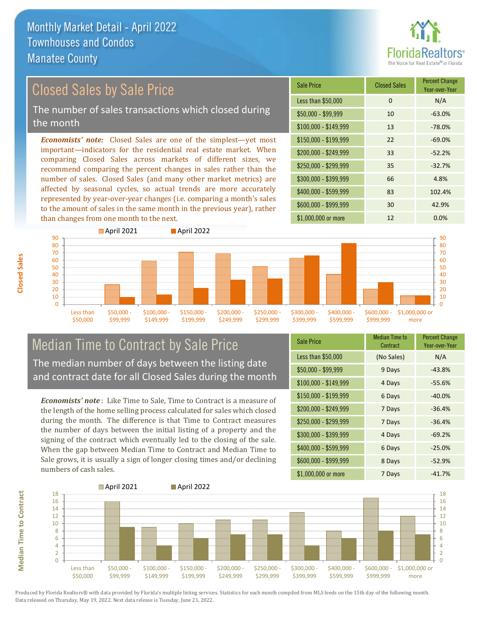

# Closed Sales by Sale Price

The number of sales transactions which closed during the month

*Economists' note:* Closed Sales are one of the simplest—yet most important—indicators for the residential real estate market. When comparing Closed Sales across markets of different sizes, we recommend comparing the percent changes in sales rather than the number of sales. Closed Sales (and many other market metrics) are affected by seasonal cycles, so actual trends are more accurately represented by year-over-year changes (i.e. comparing a month's sales to the amount of sales in the same month in the previous year), rather than changes from one month to the next.





#### Median Time to Contract by Sale Price The median number of days between the listing date and contract date for all Closed Sales during the month

*Economists' note* : Like Time to Sale, Time to Contract is a measure of the length of the home selling process calculated for sales which closed during the month. The difference is that Time to Contract measures the number of days between the initial listing of a property and the signing of the contract which eventually led to the closing of the sale. When the gap between Median Time to Contract and Median Time to Sale grows, it is usually a sign of longer closing times and/or declining numbers of cash sales.

| <b>Sale Price</b>     | Median Time to<br>Contract | <b>Percent Change</b><br>Year-over-Year |
|-----------------------|----------------------------|-----------------------------------------|
| Less than \$50,000    | (No Sales)                 | N/A                                     |
| $$50,000 - $99,999$   | 9 Days                     | $-43.8%$                                |
| $$100,000 - $149,999$ | 4 Days                     | $-55.6%$                                |
| $$150,000 - $199,999$ | 6 Days                     | $-40.0%$                                |
| \$200,000 - \$249,999 | 7 Days                     | $-36.4%$                                |
| \$250,000 - \$299,999 | 7 Days                     | $-36.4%$                                |
| \$300,000 - \$399,999 | 4 Days                     | $-69.2%$                                |
| \$400,000 - \$599,999 | 6 Days                     | $-25.0%$                                |
| \$600,000 - \$999,999 | 8 Days                     | $-52.9%$                                |
| \$1,000,000 or more   | 7 Days                     | $-41.7%$                                |



Produced by Florida Realtors® with data provided by Florida's multiple listing services. Statistics for each month compiled from MLS feeds on the 15th day of the following month. Data released on Thursday, May 19, 2022. Next data release is Tuesday, June 21, 2022.

**Median Time to Contract**

**Median Time to Contract**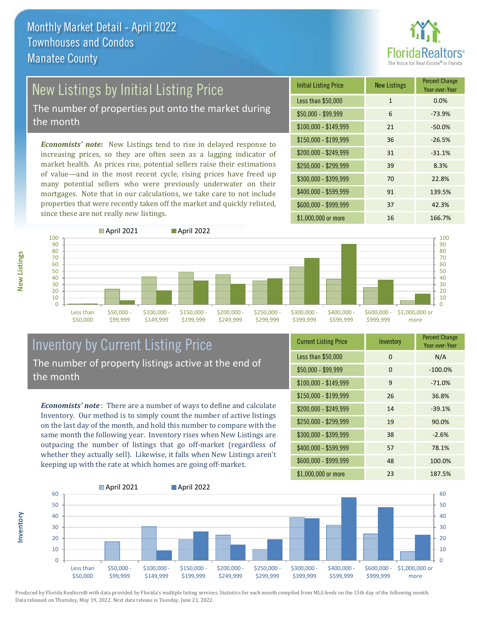

# New Listings by Initial Listing Price

The number of properties put onto the market during the month

*Economists' note:* New Listings tend to rise in delayed response to increasing prices, so they are often seen as a lagging indicator of market health. As prices rise, potential sellers raise their estimations of value—and in the most recent cycle, rising prices have freed up many potential sellers who were previously underwater on their mortgages. Note that in our calculations, we take care to not include properties that were recently taken off the market and quickly relisted, since these are not really *new* listings.

| <b>Initial Listing Price</b> | <b>New Listings</b> | <b>Percent Change</b><br>Year-over-Year |
|------------------------------|---------------------|-----------------------------------------|
| Less than \$50,000           | $\mathbf{1}$        | 0.0%                                    |
| $$50,000 - $99,999$          | 6                   | $-73.9%$                                |
| $$100,000 - $149,999$        | 21                  | $-50.0%$                                |
| $$150,000 - $199,999$        | 36                  | $-26.5%$                                |
| \$200,000 - \$249,999        | 31                  | $-31.1%$                                |
| \$250,000 - \$299,999        | 39                  | 8.3%                                    |
| \$300,000 - \$399,999        | 70                  | 22.8%                                   |
| \$400,000 - \$599,999        | 91                  | 139.5%                                  |
| \$600,000 - \$999,999        | 37                  | 42.3%                                   |
| \$1,000,000 or more          | 16                  | 166.7%                                  |



### Inventory by Current Listing Price The number of property listings active at the end of the month

*Economists' note* : There are a number of ways to define and calculate Inventory. Our method is to simply count the number of active listings on the last day of the month, and hold this number to compare with the same month the following year. Inventory rises when New Listings are outpacing the number of listings that go off-market (regardless of whether they actually sell). Likewise, it falls when New Listings aren't keeping up with the rate at which homes are going off-market.

| <b>Current Listing Price</b> | Inventory | <b>Percent Change</b><br>Year-over-Year |
|------------------------------|-----------|-----------------------------------------|
| Less than \$50,000           | 0         | N/A                                     |
| $$50,000 - $99,999$          | $\Omega$  | $-100.0%$                               |
| \$100,000 - \$149,999        | 9         | $-71.0%$                                |
| $$150,000 - $199,999$        | 26        | 36.8%                                   |
| \$200,000 - \$249,999        | 14        | $-39.1%$                                |
| \$250,000 - \$299,999        | 19        | 90.0%                                   |
| \$300,000 - \$399,999        | 38        | $-2.6%$                                 |
| \$400,000 - \$599,999        | 57        | 78.1%                                   |
| \$600,000 - \$999,999        | 48        | 100.0%                                  |
| \$1,000,000 or more          | 23        | 187.5%                                  |



**New Listings**

**Inventory**